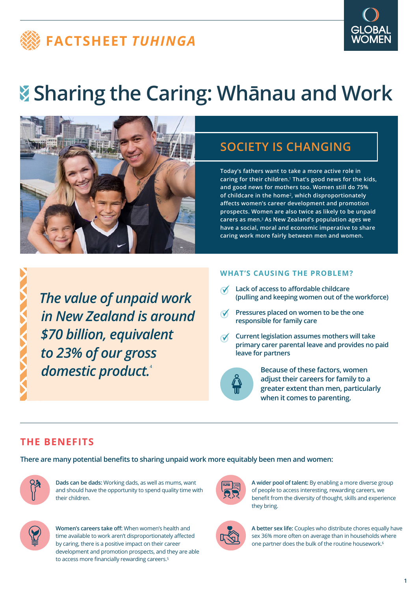# **FACTSHEET** *TUHINGA*



# **Sharing the Caring: Whānau and Work**



# **SOCIETY IS CHANGING**

**Today's fathers want to take a more active role in caring for their children.**1 **That's good news for the kids, and good news for mothers too. Women still do 75% of childcare in the home**2**, which disproportionately affects women's career development and promotion prospects. Women are also twice as likely to be unpaid carers as men.**3 **As New Zealand's population ages we have a social, moral and economic imperative to share caring work more fairly between men and women.**

*The value of unpaid work in New Zealand is around \$70 billion, equivalent to 23% of our gross domestic product.*<sup>4</sup>

#### **WHAT'S CAUSING THE PROBLEM?**

- **Lack of access to affordable childcare (pulling and keeping women out of the workforce)**
- **Pressures placed on women to be the one responsible for family care**
- **Current legislation assumes mothers will take primary carer parental leave and provides no paid leave for partners**



**Because of these factors, women adjust their careers for family to a greater extent than men, particularly when it comes to parenting.** 

## **THE BENEFITS**

**There are many potential benefits to sharing unpaid work more equitably been men and women:**



**Dads can be dads:** Working dads, as well as mums, want and should have the opportunity to spend quality time with their children.



**Women's careers take off:** When women's health and time available to work aren't disproportionately affected by caring, there is a positive impact on their career development and promotion prospects, and they are able to access more financially rewarding careers.<sup>5</sup>



**A wider pool of talent:** By enabling a more diverse group of people to access interesting, rewarding careers, we benefit from the diversity of thought, skills and experience they bring.



**A better sex life:** Couples who distribute chores equally have sex 36% more often on average than in households where one partner does the bulk of the routine housework.<sup>6</sup>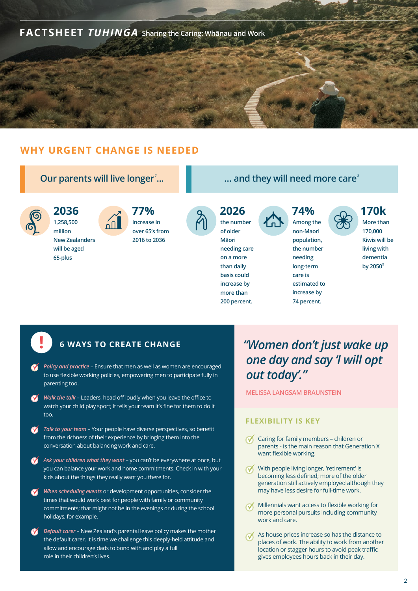

## **WHY URGENT CHANGE IS NEEDED**



## **! 6 WAYS TO CREATE CHANGE**

- *Policy and practice* Ensure that men as well as women are encouraged to use flexible working policies, empowering men to participate fully in parenting too.
- *Walk the talk* Leaders, head off loudly when you leave the office to  $\bullet$ watch your child play sport; it tells your team it's fine for them to do it too.
- *Talk to your team* Your people have diverse perspectives, so benefit  $\bullet$ from the richness of their experience by bringing them into the conversation about balancing work and care.
- **Ask your children what they want** you can't be everywhere at once, but you can balance your work and home commitments. Check in with your kids about the things they really want you there for.
- When scheduling events or development opportunities, consider the times that would work best for people with family or community commitments; that might not be in the evenings or during the school holidays, for example.
- *Default carer* New Zealand's parental leave policy makes the mother the default carer. It is time we challenge this deeply-held attitude and allow and encourage dads to bond with and play a full role in their children's lives.

## *"Women don't just wake up one day and say 'I will opt out today'."*

**MELISSA LANGSAM BRAUNSTEIN**

#### **FLEXIBILITY IS KEY**

- Caring for family members children or parents - is the main reason that Generation X want flexible working.
- With people living longer, 'retirement' is becoming less defined; more of the older generation still actively employed although they may have less desire for full-time work.
- Millennials want access to flexible working for more personal pursuits including community work and care.
- As house prices increase so has the distance to places of work. The ability to work from another location or stagger hours to avoid peak traffic gives employees hours back in their day.